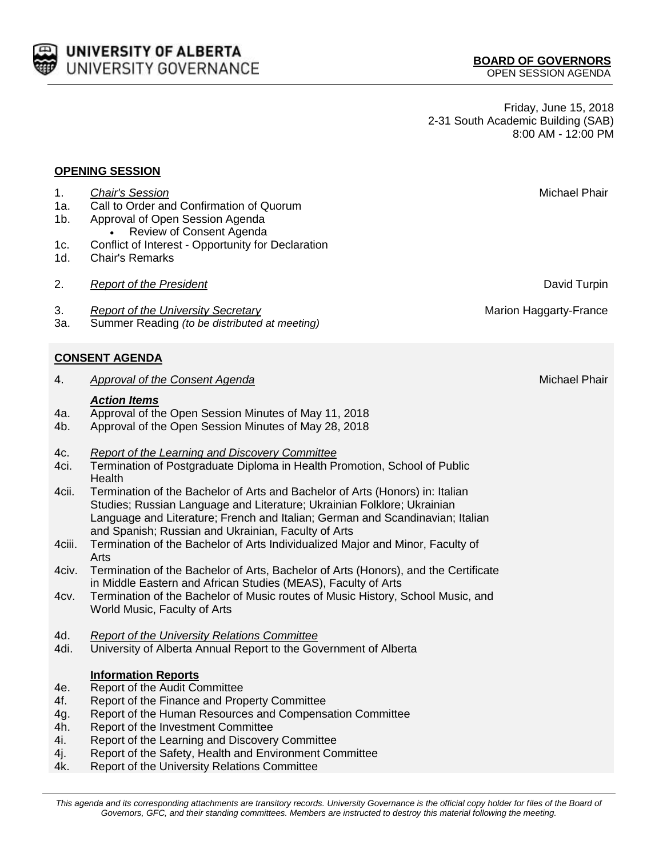

Friday, June 15, 2018 2-31 South Academic Building (SAB) 8:00 AM - 12:00 PM

## **OPENING SESSION**

1d. Chair's Remarks

1a. Call to Order and Confirmation of Quorum

 Review of Consent Agenda 1c. Conflict of Interest - Opportunity for Declaration

1b. Approval of Open Session Agenda

- 3. *Report of the University Secretary* Marion Haggarty-France 3a. Summer Reading *(to be distributed at meeting)* **CONSENT AGENDA** 4. *Approval of the Consent Agenda* Michael Phair *Action Items* 4a. Approval of the Open Session Minutes of May 11, 2018 4b. Approval of the Open Session Minutes of May 28, 2018 4c. *Report of the Learning and Discovery Committee* 4ci. Termination of Postgraduate Diploma in Health Promotion, School of Public **Health** 4cii. Termination of the Bachelor of Arts and Bachelor of Arts (Honors) in: Italian Studies; Russian Language and Literature; Ukrainian Folklore; Ukrainian Language and Literature; French and Italian; German and Scandinavian; Italian and Spanish; Russian and Ukrainian, Faculty of Arts 4ciii. Termination of the Bachelor of Arts Individualized Major and Minor, Faculty of Arts 4civ. Termination of the Bachelor of Arts, Bachelor of Arts (Honors), and the Certificate in Middle Eastern and African Studies (MEAS), Faculty of Arts 4cv. Termination of the Bachelor of Music routes of Music History, School Music, and World Music, Faculty of Arts 4d. *Report of the University Relations Committee* 4di. University of Alberta Annual Report to the Government of Alberta **Information Reports**
- 
- 4e. Report of the Audit Committee
- 4f. Report of the Finance and Property Committee
- 4g. Report of the Human Resources and Compensation Committee
- 4h. Report of the Investment Committee
- 4i. Report of the Learning and Discovery Committee
- 4j. Report of the Safety, Health and Environment Committee
- 4k. Report of the University Relations Committee

1. Chair's Session **Michael Phair** and *Chair's Session* Michael Phair and *Chair's Session* 

2. *Report of the President* David Turpin